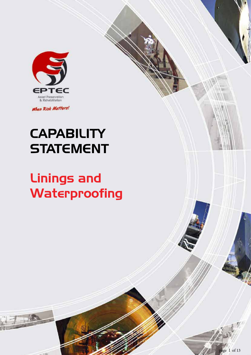

When Risk Matters!

# **CAPABILITY STATEMENT**

# Linings and Waterproofing

Asset Preservation & Rehabilitation *When Risk Matters*

EPTEC GROUP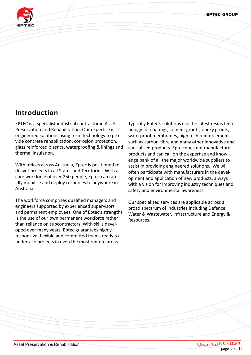EPTEC GROUP



# **Introduction**

EPTEC is a specialist industrial contractor in Asset Preservation and Rehabilitation. Our expertise is engineered solutions using resin technology to provide concrete rehabilitation, corrosion protection, glass reinforced plastics, waterproofing & linings and thermal insulation.

With offices across Australia, Eptec is positioned to deliver projects in all States and Territories. With a core workforce of over 250 people, Eptec can rapidly mobilise and deploy resources to anywhere in Australia.

The workforce comprises qualified managers and engineers supported by experienced supervisors and permanent employees. One of Eptec's strengths is the use of our own permanent workforce rather than reliance on subcontractors. With skills developed over many years, Eptec guarantees highly responsive, flexible and committed teams ready to undertake projects in even the most remote areas.

Typically Eptec's solutions use the latest resins technology for coatings, cement grouts, epoxy grouts, waterproof membranes, high tech reinforcement such as carbon-fibre and many other innovative and specialised products. Eptec does not manufacture products and can call on the expertise and knowledge bank of all the major worldwide suppliers to assist in providing engineered solutions. We will often participate with manufacturers in the development and application of new products, always with a vision for improving industry techniques and safety and environmental awareness.

Our specialised services are applicable across a broad spectrum of industries including Defence, Water & Wastewater, Infrastructure and Energy & Resources.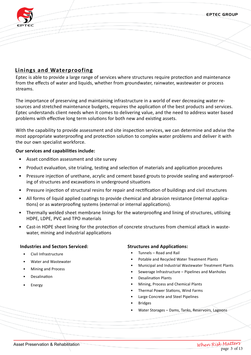

## **Linings and Waterproofing**

Eptec is able to provide a large range of services where structures require protection and maintenance from the effects of water and liquids, whether from groundwater, rainwater, wastewater or process streams.

The importance of preserving and maintaining infrastructure in a world of ever decreasing water resources and stretched maintenance budgets, requires the application of the best products and services. Eptec understands client needs when it comes to delivering value, and the need to address water based problems with effective long term solutions for both new and existing assets.

With the capability to provide assessment and site inspection services, we can determine and advise the most appropriate waterproofing and protection solution to complex water problems and deliver it with the our own specialist workforce.

#### **Our services and capabilities include:**

- Asset condition assessment and site survey
- Product evaluation, site trialing, testing and selection of materials and application procedures
- Pressure injection of urethane, acrylic and cement based grouts to provide sealing and waterproofing of structures and excavations in underground situations
- Pressure injection of structural resins for repair and rectification of buildings and civil structures
- All forms of liquid applied coatings to provide chemical and abrasion resistance (internal applications) or as waterproofing systems (external or internal applications).
- Thermally welded sheet membrane linings for the waterproofing and lining of structures, utilising HDPE, LDPE, PVC and TPO materials
- Cast-in HDPE sheet lining for the protection of concrete structures from chemical attack in wastewater, mining and industrial applications

#### **Industries and Sectors Serviced:**

- Civil Infrastructure
- Water and Wastewater
- Mining and Process
- **Desalination**
- **Energy**

#### **Structures and Applications:**

- Tunnels Road and Rail
- Potable and Recycled Water Treatment Plants
- Municipal and Industrial Wastewater Treatment Plants
- Sewerage Infrastructure Pipelines and Manholes
- Desalination Plants
- Mining, Process and Chemical Plants
- Thermal Power Stations, Wind Farms
- Large Concrete and Steel Pipelines
- **Bridges**
- Water Storages Dams, Tanks, Reservoirs, Lagoons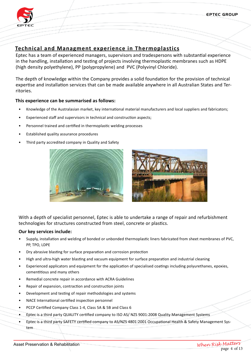

## **Technical and Managment experience in Thermoplastics**

Eptec has a team of experienced managers, supervisors and tradespersons with substantial experience in the handling, installation and testing of projects involving thermoplastic membranes such as HDPE (high density polyethylene), PP (polypropylene) and PVC (Polyvinyl Chloride).

The depth of knowledge within the Company provides a solid foundation for the provision of technical expertise and installation services that can be made available anywhere in all Australian States and Territories.

#### **This experience can be summarised as follows:**

- Knowledge of the Australasian market, key international material manufacturers and local suppliers and fabricators;
- Experienced staff and supervisors in technical and construction aspects;
- Personnel trained and certified in thermoplastic welding processes
- Established quality assurance procedures
- Third party accredited company in Quality and Safety





With a depth of specialist personnel, Eptec is able to undertake a range of repair and refurbishment technologies for structures constructed from steel, concrete or plastics.

#### **Our key services include:**

- Supply, installation and welding of bonded or unbonded thermoplastic liners fabricated from sheet membranes of PVC, PP, TPO, LDPE
- Dry abrasive blasting for surface preparation and corrosion protection
- High and ultra-high water blasting and vacuum equipment for surface preparation and industrial cleaning
- Experienced applicators and equipment for the application of specialised coatings including polyurethanes, epoxies, cementitious and many others
- Remedial concrete repair in accordance with ACRA Guidelines
- Repair of expansion, contraction and construction joints
- Development and testing of repair methodologies and systems
- NACE International certified inspection personnel
- PCCP Certified Company Class 1-4, Class 5A & 5B and Class 6
- Eptec is a third party QUALITY certified company to ISO AS/ NZS 9001:2008 Quality Management Systems
- Eptec is a third party SAFETY certified company to AS/NZS 4801:2001 Occupational Health & Safety Management System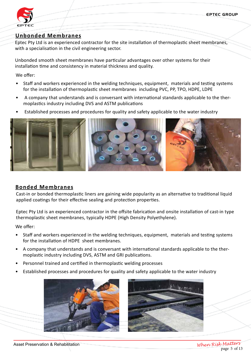

#### **Unbonded Membranes**

Eptec Pty Ltd is an experienced contractor for the site installation of thermoplastic sheet membranes, with a specialisation in the civil engineering sector.

Unbonded smooth sheet membranes have particular advantages over other systems for their installation time and consistency in material thickness and quality.

We offer:

- Staff and workers experienced in the welding techniques, equipment, materials and testing systems for the installation of thermoplastic sheet membranes including PVC, PP, TPO, HDPE, LDPE
- A company that understands and is conversant with international standards applicable to the thermoplastics industry including DVS and ASTM publications
- Established processes and procedures for quality and safety applicable to the water industry



#### **Bonded Membranes**

Cast-in or bonded thermoplastic liners are gaining wide popularity as an alternative to traditional liquid applied coatings for their effective sealing and protection properties.

Eptec Pty Ltd is an experienced contractor in the offsite fabrication and onsite installation of cast-in type thermoplastic sheet membranes, typically HDPE (High Density Polyethylene).

We offer:

- Staff and workers experienced in the welding techniques, equipment, materials and testing systems for the installation of HDPE sheet membranes.
- A company that understands and is conversant with international standards applicable to the thermoplastic industry including DVS, ASTM and GRI publications.
- Personnel trained and certified in thermoplastic welding processes
- Established processes and procedures for quality and safety applicable to the water industry



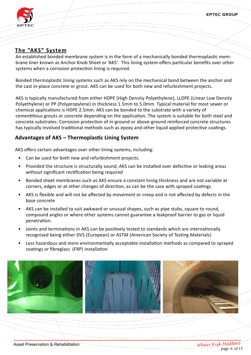EPTEC GROUP



# **The "AKS" System**

An established bonded membrane system is in the form of a mechanically bonded thermoplastic membrane liner known as Anchor Knob Sheet or 'AKS'. This lining system offers particular benefits over other systems when a corrosion protection lining is required.

Bonded thermoplastic lining systems such as AKS rely on the mechanical bond between the anchor and the cast in-place concrete or grout. AKS can be used for both new and refurbishment projects.

AKS is typically manufactured from either HDPE (High Density Polyethylene), LLDPE (Linear Low Density Polyethylene) or PP (Polypropylene) in thickness 1.5mm to 5.0mm. Typical material for most sewer or chemical applications is HDPE 2.5mm. AKS can be bonded to the substrate with a variety of cementitious grouts or concrete depending on the application. The system is suitable for both steel and concrete substrates. Corrosion protection of in-ground or above-ground reinforced concrete structures has typically involved traditional methods such as epoxy and other liquid applied protective coatings.

## **Advantages of AKS – Thermoplastic Lining System**

AKS offers certain advantages over other lining systems, including:

- Can be used for both new and refurbishment projects.
- Provided the structure is structurally sound, AKS can be installed over defective or leaking areas without significant rectification being required
- Bonded sheet membranes such as AKS ensure a constant lining thickness and are not variable at corners, edges or at other changes of direction, as can be the case with sprayed coatings
- AKS is flexible and will not be affected by movement or creep and is not affected by defects in the base concrete
- AKS can be installed to suit awkward or unusual shapes, such as pipe stubs, square to round, compound angles or where other systems cannot guarantee a leakproof barrier to gas or liquid penetration.
- Joints and terminations in AKS can be positively tested to standards which are internationally recognised being either DVS (European) or ASTM (American Society of Testing Materials)
- Less hazardous and more environmentally acceptable installation methods as compared to sprayed coatings or fibreglass (FRP) installation

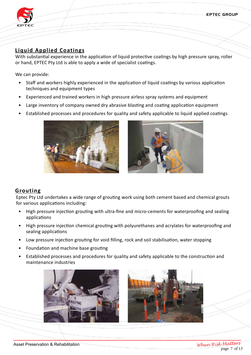EPTEC GROUP



# **Liquid Applied Coatings**

With substantial experience in the application of liquid protective coatings by high pressure spray, roller or hand, EPTEC Pty Ltd is able to apply a wide of specialist coatings.

We can provide:

- Staff and workers highly experienced in the application of liquid coatings by various application techniques and equipment types
- Experienced and trained workers in high pressure airless spray systems and equipment
- Large inventory of company owned dry abrasive blasting and coating application equipment
- Established processes and procedures for quality and safety applicable to liquid applied coatings





## **Grouting**

Eptec Pty Ltd undertakes a wide range of grouting work using both cement based and chemical grouts for various applications including:

- High pressure injection grouting with ultra-fine and micro-cements for waterproofing and sealing applications
- High pressure injection chemical grouting with polyurethanes and acrylates for waterproofing and sealing applications
- Low pressure injection grouting for void filling, rock and soil stabilisation, water stopping
- Foundation and machine base grouting
- Established processes and procedures for quality and safety applicable to the construction and maintenance industries



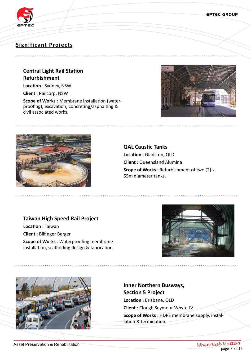

## **Significant Projects**

## **Central Light Rail Station Refurbishment**

**Location** : Sydney, NSW

**Client** : Railcorp, NSW

**Scope of Works** : Membrane installation (waterproofing), excavation, concreting/asphalting & civil associated works.





**QAL Caustic Tanks Location** : Gladston, QLD **Client** : Queensland Alumina **Scope of Works** : Refurbishment of two (2) x 55m diameter tanks.

#### **Taiwan High Speed Rail Project**

**Location** : Taiwan **Client** : Bilfinger Berger **Scope of Works** : Waterproofing membrane installation, scaffolding design & fabrication.





# **Inner Northern Busways, Section 5 Project**

**Location** : Brisbane, QLD **Client** : Clough Seymour Whyte JV

**Scope of Works** : HDPE membrane supply, installation & termination.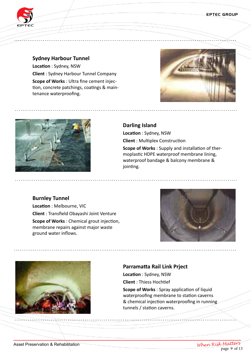



#### **Sydney Harbour Tunnel**

**Location** : Sydney, NSW **Client** : Sydney Harbour Tunnel Company **Scope of Works** : Ultra fine cement injection, concrete patchings, coatings & maintenance waterproofing.





#### **Darling Island**

jointing.

**Location** : Sydney, NSW **Client** : Multiplex Construction **Scope of Works** : Supply and installation of thermoplastic HDPE waterproof membrane lining,

waterproof bandage & balcony membrane &

### **Burnley Tunnel**

**Location** : Melbourne, VIC **Client** : Transfield Obayashi Joint Venture **Scope of Works** : Chemical grout injection, membrane repairs against major waste ground water inflows.





#### **Parramatta Rail Link Prject**

**Location** : Sydney, NSW **Client** : Thiess Hochtief

**Scope of Works** : Spray application of liquid waterproofing membrane to station caverns & chemical injection waterproofing in running tunnels / station caverns.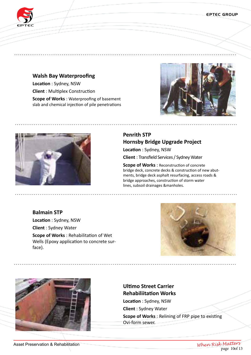

## **Walsh Bay Waterproofing**

**Location** : Sydney, NSW **Client** : Multiplex Construction **Scope of Works** : Waterproofing of basement slab and chemical injection of pile penetrations





# **Penrith STP Hornsby Bridge Upgrade Project**

**Location** : Sydney, NSW

**Client** : Transfield Services / Sydney Water

**Scope of Works** : Reconstruction of concrete bridge deck, concrete decks & construction of new abutments, bridge deck asphalt resurfacing, access roads & bridge approaches, construction of storm water lines, subsoil drainages &manholes.

## **Balmain STP Location** : Sydney, NSW **Client** : Sydney Water **Scope of Works** : Rehabilitation of Wet Wells (Epoxy application to concrete surface).





# **Ultimo Street Carrier Rehabiliitation Works**

**Location** : Sydney, NSW **Client** : Sydney Water **Scope of Works** : Relining of FRP pipe to existing Ovi-form sewer.

Asset Preservation & Rehabilitation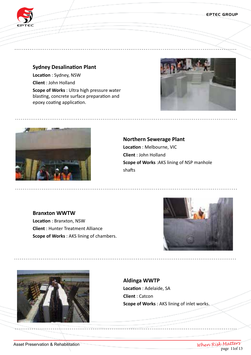

## **Sydney Desalination Plant Location** : Sydney, NSW **Client** : John Holland

**Scope of Works** : Ultra high pressure water blasting, concrete surface preparation and epoxy coating application.





# **Northern Sewerage Plant Location** : Melbourne, VIC **Client** : John Holland **Scope of Works** :AKS lining of NSP manhole shafts

**Branxton WWTW Location** : Branxton, NSW **Client** : Hunter Treatment Alliance **Scope of Works** : AKS lining of chambers.





**Aldinga WWTP Location** : Adelaide, SA **Client** : Catcon **Scope of Works** : AKS lining of inlet works.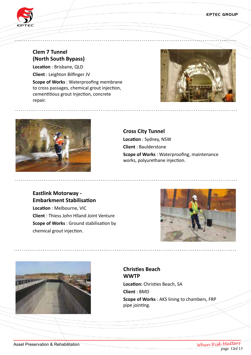

# **Clem 7 Tunnel (North South Bypass)**

**Location** : Brisbane, QLD **Client** : Leighton Bilfinger JV **Scope of Works** : Waterproofing membrane to cross passages, chemical grout injection, cementitious grout injection, concrete repair.





**Cross City Tunnel Location** : Sydney, NSW **Client** : Baulderstone **Scope of Works** : Waterproofing, maintenance works, polyurethane injection.

## **Eastlink Motorway - Embarkment Stabilisation**

**Location** : Melbourne, VIC **Client** : Thiess John Hlland Joint Venture **Scope of Works** : Ground stabilisation by chemical grout injection.





**Christies Beach WWTP Location:** Christies Beach, SA **Client** : BMD **Scope of Works** : AKS lining to chambers, FRP pipe jointing.